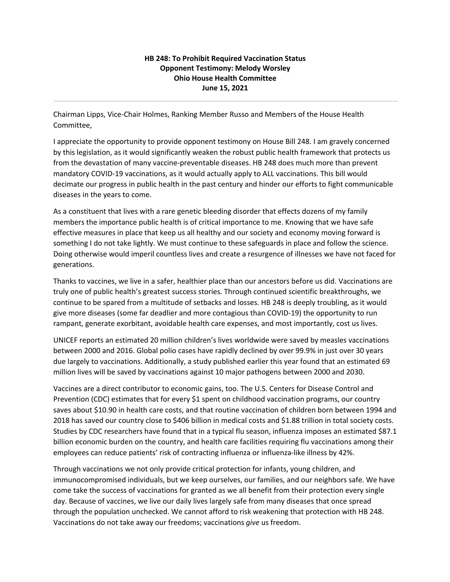## **HB 248: To Prohibit Required Vaccination Status Opponent Testimony: Melody Worsley Ohio House Health Committee June 15, 2021**

Chairman Lipps, Vice-Chair Holmes, Ranking Member Russo and Members of the House Health Committee,

I appreciate the opportunity to provide opponent testimony on House Bill 248. I am gravely concerned by this legislation, as it would significantly weaken the robust public health framework that protects us from the devastation of many vaccine-preventable diseases. HB 248 does much more than prevent mandatory COVID-19 vaccinations, as it would actually apply to ALL vaccinations. This bill would decimate our progress in public health in the past century and hinder our efforts to fight communicable diseases in the years to come.

As a constituent that lives with a rare genetic bleeding disorder that effects dozens of my family members the importance public health is of critical importance to me. Knowing that we have safe effective measures in place that keep us all healthy and our society and economy moving forward is something I do not take lightly. We must continue to these safeguards in place and follow the science. Doing otherwise would imperil countless lives and create a resurgence of illnesses we have not faced for generations.

Thanks to vaccines, we live in a safer, healthier place than our ancestors before us did. Vaccinations are truly one of public health's greatest success stories. Through continued scientific breakthroughs, we continue to be spared from a multitude of setbacks and losses. HB 248 is deeply troubling, as it would give more diseases (some far deadlier and more contagious than COVID-19) the opportunity to run rampant, generate exorbitant, avoidable health care expenses, and most importantly, cost us lives.

UNICEF reports an estimated 20 million children's lives worldwide were saved by measles vaccinations between 2000 and 2016. Global polio cases have rapidly declined by over 99.9% in just over 30 years due largely to vaccinations. Additionally, a study published earlier this year found that an estimated 69 million lives will be saved by vaccinations against 10 major pathogens between 2000 and 2030.

Vaccines are a direct contributor to economic gains, too. The U.S. Centers for Disease Control and Prevention (CDC) estimates that for every \$1 spent on childhood vaccination programs, our country saves about \$10.90 in health care costs, and that routine vaccination of children born between 1994 and 2018 has saved our country close to \$406 billion in medical costs and \$1.88 trillion in total society costs. Studies by CDC researchers have found that in a typical flu season, influenza imposes an estimated \$87.1 billion economic burden on the country, and health care facilities requiring flu vaccinations among their employees can reduce patients' risk of contracting influenza or influenza-like illness by 42%.

Through vaccinations we not only provide critical protection for infants, young children, and immunocompromised individuals, but we keep ourselves, our families, and our neighbors safe. We have come take the success of vaccinations for granted as we all benefit from their protection every single day. Because of vaccines, we live our daily lives largely safe from many diseases that once spread through the population unchecked. We cannot afford to risk weakening that protection with HB 248. Vaccinations do not take away our freedoms; vaccinations *give* us freedom.